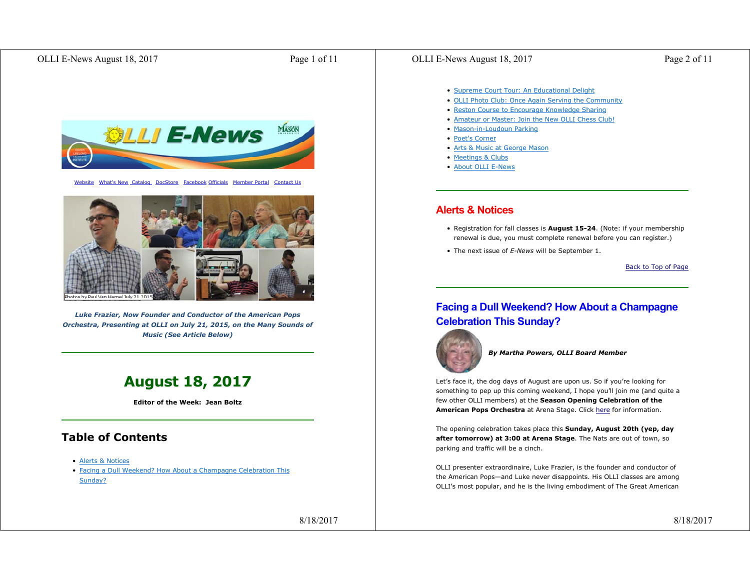## OLLI E-News August 18, 2017 Page 1 of 11



Website What's New Catalog DocStore Facebook Officials Member Portal Contact Us



*Luke Frazier, Now Founder and Conductor of the American Pops Orchestra, Presenting at OLLI on July 21, 2015, on the Many Sounds of Music (See Article Below)*

# **August 18, 2017**

**Editor of the Week: Jean Boltz**

# **Table of Contents**

- Alerts & Notices
- Facing a Dull Weekend? How About a Champagne Celebration This Sunday?

8/18/2017

## OLLI E-News August 18, 2017 Page 2 of 11

- Supreme Court Tour: An Educational Delight
- OLLI Photo Club: Once Again Serving the Community
- Reston Course to Encourage Knowledge Sharing
- Amateur or Master: Join the New OLLI Chess Club!
- Mason-in-Loudoun Parking
- Poet's Corner
- Arts & Music at George Mason
- Meetings & Clubs
- About OLLI E-News

## **Alerts & Notices**

- Registration for fall classes is **August 15-24**. (Note: if your membership renewal is due, you must complete renewal before you can register.)
- The next issue of *E-News* will be September 1.

Back to Top of Page

# **Facing a Dull Weekend? How About a Champagne Celebration This Sunday?**



*By Martha Powers, OLLI Board Member*

Let's face it, the dog days of August are upon us. So if you're looking for something to pep up this coming weekend, I hope you'll join me (and quite a few other OLLI members) at the **Season Opening Celebration of the American Pops Orchestra** at Arena Stage. Click here for information.

The opening celebration takes place this **Sunday, August 20th (yep, day after tomorrow) at 3:00 at Arena Stage**. The Nats are out of town, so parking and traffic will be a cinch.

OLLI presenter extraordinaire, Luke Frazier, is the founder and conductor of the American Pops—and Luke never disappoints. His OLLI classes are among OLLI's most popular, and he is the living embodiment of The Great American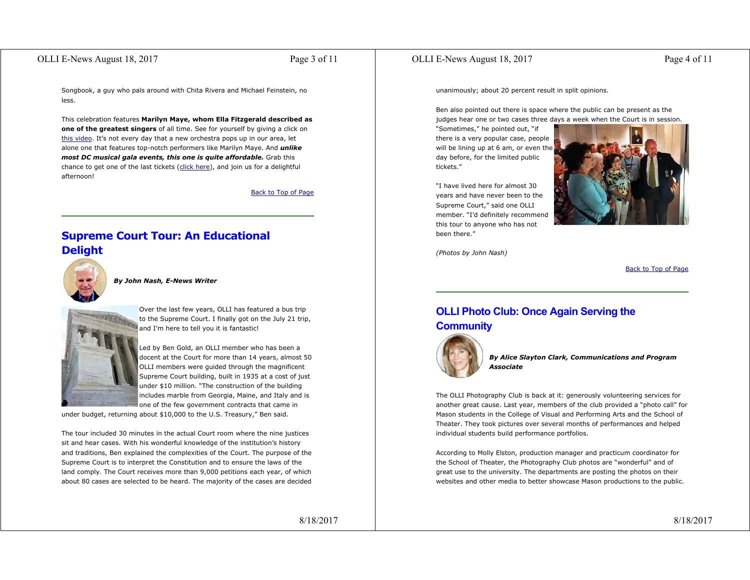## OLLI E-News August 18, 2017 Page 3 of 11

Songbook, a guy who pals around with Chita Rivera and Michael Feinstein, no less.

This celebration features **Marilyn Maye, whom Ella Fitzgerald described as one of the greatest singers** of all time. See for yourself by giving a click on this video. It's not every day that a new orchestra pops up in our area, let alone one that features top-notch performers like Marilyn Maye. And *unlike most DC musical gala events, this one is quite affordable.* Grab this chance to get one of the last tickets (click here), and join us for a delightful afternoon!

Back to Top of Page

# **Supreme Court Tour: An Educational Delight**



*By John Nash, E-News Writer* 



Over the last few years, OLLI has featured a bus trip to the Supreme Court. I finally got on the July 21 trip, and I'm here to tell you it is fantastic!

Led by Ben Gold, an OLLI member who has been a docent at the Court for more than 14 years, almost 50 OLLI members were guided through the magnificent Supreme Court building, built in 1935 at a cost of just under \$10 million. "The construction of the building includes marble from Georgia, Maine, and Italy and is one of the few government contracts that came in

under budget, returning about \$10,000 to the U.S. Treasury," Ben said.

The tour included 30 minutes in the actual Court room where the nine justices sit and hear cases. With his wonderful knowledge of the institution's history and traditions, Ben explained the complexities of the Court. The purpose of the Supreme Court is to interpret the Constitution and to ensure the laws of the land comply. The Court receives more than 9,000 petitions each year, of which about 80 cases are selected to be heard. The majority of the cases are decided

8/18/2017

## OLLI E-News August 18, 2017 Page 4 of 11

unanimously; about 20 percent result in split opinions.

Ben also pointed out there is space where the public can be present as the judges hear one or two cases three days a week when the Court is in session.

"Sometimes," he pointed out, "if there is a very popular case, people will be lining up at 6 am, or even the day before, for the limited public tickets."

"I have lived here for almost 30 years and have never been to the Supreme Court," said one OLLI member. "I'd definitely recommend this tour to anyone who has not been there."



*(Photos by John Nash)*

Back to Top of Page

# **OLLI Photo Club: Once Again Serving the Community**



*By Alice Slayton Clark, Communications and Program Associate*

The OLLI Photography Club is back at it: generously volunteering services for another great cause. Last year, members of the club provided a "photo call" for Mason students in the College of Visual and Performing Arts and the School of Theater. They took pictures over several months of performances and helped individual students build performance portfolios.

According to Molly Elston, production manager and practicum coordinator for the School of Theater, the Photography Club photos are "wonderful" and of great use to the university. The departments are posting the photos on their websites and other media to better showcase Mason productions to the public.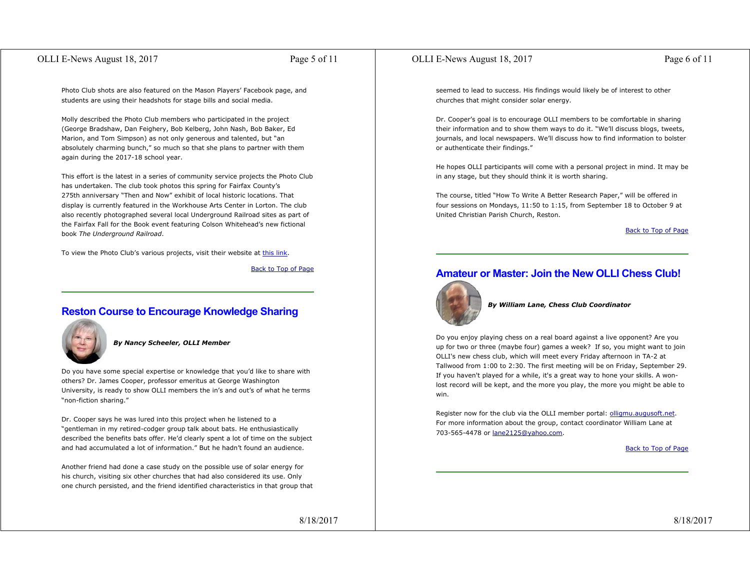## OLLI E-News August 18, 2017 Page 5 of 11

Photo Club shots are also featured on the Mason Players' Facebook page, and students are using their headshots for stage bills and social media.

Molly described the Photo Club members who participated in the project (George Bradshaw, Dan Feighery, Bob Kelberg, John Nash, Bob Baker, Ed Marion, and Tom Simpson) as not only generous and talented, but "an absolutely charming bunch," so much so that she plans to partner with them again during the 2017-18 school year.

This effort is the latest in a series of community service projects the Photo Club has undertaken. The club took photos this spring for Fairfax County's 275th anniversary "Then and Now" exhibit of local historic locations. That display is currently featured in the Workhouse Arts Center in Lorton. The club also recently photographed several local Underground Railroad sites as part of the Fairfax Fall for the Book event featuring Colson Whitehead's new fictional book *The Underground Railroad*.

To view the Photo Club's various projects, visit their website at this link.

Back to Top of Page

# **Reston Course to Encourage Knowledge Sharing**



### *By Nancy Scheeler, OLLI Member*

Do you have some special expertise or knowledge that you'd like to share with others? Dr. James Cooper, professor emeritus at George Washington University, is ready to show OLLI members the in's and out's of what he terms "non-fiction sharing."

Dr. Cooper says he was lured into this project when he listened to a "gentleman in my retired-codger group talk about bats. He enthusiastically described the benefits bats offer. He'd clearly spent a lot of time on the subject and had accumulated a lot of information." But he hadn't found an audience.

Another friend had done a case study on the possible use of solar energy for his church, visiting six other churches that had also considered its use. Only one church persisted, and the friend identified characteristics in that group that

8/18/2017

## OLLI E-News August 18, 2017 Page 6 of 11

seemed to lead to success. His findings would likely be of interest to other churches that might consider solar energy.

Dr. Cooper's goal is to encourage OLLI members to be comfortable in sharing their information and to show them ways to do it. "We'll discuss blogs, tweets, journals, and local newspapers. We'll discuss how to find information to bolster or authenticate their findings."

He hopes OLLI participants will come with a personal project in mind. It may be in any stage, but they should think it is worth sharing.

The course, titled "How To Write A Better Research Paper," will be offered in four sessions on Mondays, 11:50 to 1:15, from September 18 to October 9 at United Christian Parish Church, Reston.

Back to Top of Page

# **Amateur or Master: Join the New OLLI Chess Club!**



### *By William Lane, Chess Club Coordinator*

Do you enjoy playing chess on a real board against a live opponent? Are you up for two or three (maybe four) games a week? If so, you might want to join OLLI's new chess club, which will meet every Friday afternoon in TA-2 at Tallwood from 1:00 to 2:30. The first meeting will be on Friday, September 29. If you haven't played for a while, it's a great way to hone your skills. A wonlost record will be kept, and the more you play, the more you might be able to win.

Register now for the club via the OLLI member portal: olligmu.augusoft.net. For more information about the group, contact coordinator William Lane at 703-565-4478 or lane2125@yahoo.com.

Back to Top of Page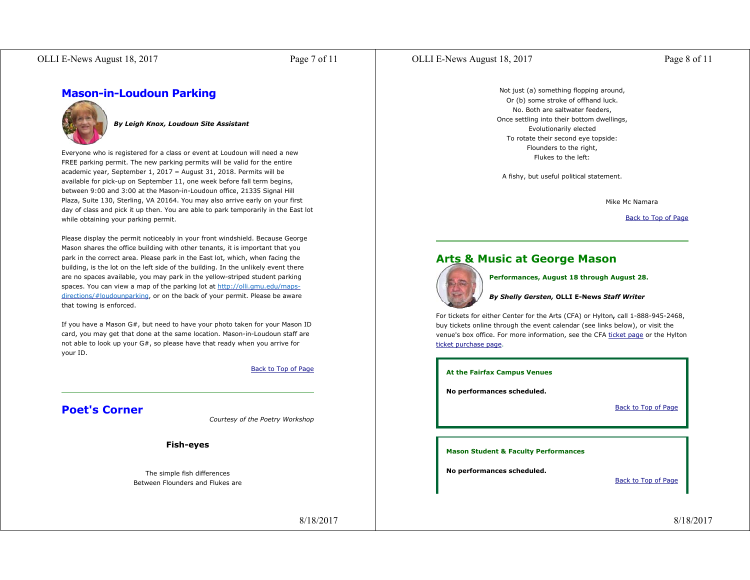## OLLI E-News August 18, 2017 Page 7 of 11

## OLLI E-News August 18, 2017 Page 8 of 11

**Mason-in-Loudoun Parking**



### *By Leigh Knox, Loudoun Site Assistant*

Everyone who is registered for a class or event at Loudoun will need a new FREE parking permit. The new parking permits will be valid for the entire academic year, September 1, 2017 **–** August 31, 2018. Permits will be available for pick-up on September 11, one week before fall term begins, between 9:00 and 3:00 at the Mason-in-Loudoun office, 21335 Signal Hill Plaza, Suite 130, Sterling, VA 20164. You may also arrive early on your first day of class and pick it up then. You are able to park temporarily in the East lot while obtaining your parking permit.

Please display the permit noticeably in your front windshield. Because George Mason shares the office building with other tenants, it is important that you park in the correct area. Please park in the East lot, which, when facing the building, is the lot on the left side of the building. In the unlikely event there are no spaces available, you may park in the yellow-striped student parking spaces. You can view a map of the parking lot at http://olli.gmu.edu/mapsdirections/#loudounparking, or on the back of your permit. Please be aware that towing is enforced.

If you have a Mason G#, but need to have your photo taken for your Mason ID card, you may get that done at the same location. Mason-in-Loudoun staff are not able to look up your G#, so please have that ready when you arrive for your ID.

#### Back to Top of Page

# **Poet's Corner**

*Courtesy of the Poetry Workshop*

**Fish-eyes**

The simple fish differences Between Flounders and Flukes are

8/18/2017

Not just (a) something flopping around, Or (b) some stroke of offhand luck. No. Both are saltwater feeders, Once settling into their bottom dwellings, Evolutionarily elected To rotate their second eye topside: Flounders to the right, Flukes to the left:

A fishy, but useful political statement.

Mike Mc Namara

Back to Top of Page

# **Arts & Music at George Mason**



**Performances, August 18 through August 28.**

### *By Shelly Gersten,* **OLLI E-News** *Staff Writer*

For tickets for either Center for the Arts (CFA) or Hylton**,** call 1-888-945-2468, buy tickets online through the event calendar (see links below), or visit the venue's box office. For more information, see the CFA ticket page or the Hylton ticket purchase page.

**At the Fairfax Campus Venues**

**No performances scheduled.**

Back to Top of Page

**Mason Student & Faculty Performances**

**No performances scheduled.**

Back to Top of Page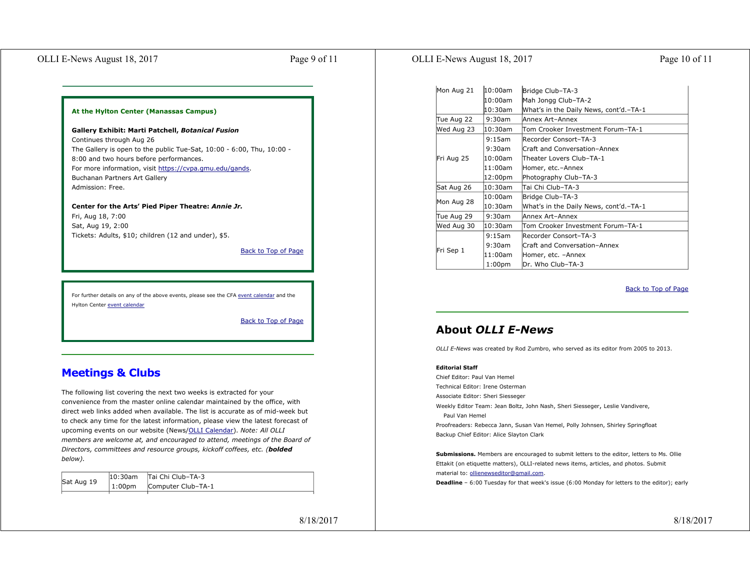## OLLI E-News August 18, 2017 Page 9 of 11

## OLLI E-News August 18, 2017 Page 10 of 11

| Mon Aug 21 | 10:00am            | Bridge Club-TA-3                       |
|------------|--------------------|----------------------------------------|
|            | l10:00am           | Mah Jongg Club-TA-2                    |
|            | l10:30am           | Mhat's in the Daily News, cont'd.-TA-1 |
| Tue Aug 22 | 9:30am             | Annex Art-Annex                        |
| Wed Aug 23 | 10:30am            | Tom Crooker Investment Forum-TA-1      |
| Fri Aug 25 | 9:15am             | Recorder Consort-TA-3                  |
|            | $9:30$ am          | Craft and Conversation-Annex           |
|            | 10:00am            | Theater Lovers Club-TA-1               |
|            | $11:00$ am         | Homer, etc.-Annex                      |
|            | 12:00pm            | Photography Club-TA-3                  |
| Sat Aug 26 | 10:30am            | Tai Chi Club-TA-3                      |
| Mon Aug 28 | 10:00am            | Bridge Club-TA-3                       |
|            | 10:30am            | What's in the Daily News, cont'd.-TA-1 |
| Tue Aug 29 | 9:30am             | Annex Art-Annex                        |
| Wed Aug 30 | 10:30am            | Tom Crooker Investment Forum–TA-1      |
| Fri Sep 1  | 9:15am             | Recorder Consort-TA-3                  |
|            | 9:30am             | Craft and Conversation-Annex           |
|            | 11:00am            | Homer, etc. -Annex                     |
|            | 1:00 <sub>pm</sub> | Dr. Who Club-TA-3                      |

Back to Top of Page

# **About** *OLLI E-News*

*OLLI E-News* was created by Rod Zumbro, who served as its editor from 2005 to 2013.

### **Editorial Staff**

Chief Editor: Paul Van Hemel Technical Editor: Irene Osterman Associate Editor: Sheri Siesseger Weekly Editor Team: Jean Boltz, John Nash, Sheri Siesseger, Leslie Vandivere, Paul Van Hemel Proofreaders: Rebecca Jann, Susan Van Hemel, Polly Johnsen, Shirley Springfloat Backup Chief Editor: Alice Slayton Clark

**Submissions.** Members are encouraged to submit letters to the editor, letters to Ms. Ollie Ettakit (on etiquette matters), OLLI-related news items, articles, and photos. Submit material to: ollienewseditor@gmail.com.

**Deadline** – 6:00 Tuesday for that week's issue (6:00 Monday for letters to the editor); early

**At the Hylton Center (Manassas Campus)**

### **Gallery Exhibit: Marti Patchell,** *Botanical Fusion*

Continues through Aug 26 The Gallery is open to the public Tue-Sat, 10:00 - 6:00, Thu, 10:00 - 8:00 and two hours before performances. For more information, visit https://cvpa.gmu.edu/gands. Buchanan Partners Art Gallery Admission: Free.

**Center for the Arts' Pied Piper Theatre:** *Annie Jr.* Fri, Aug 18, 7:00 Sat, Aug 19, 2:00 Tickets: Adults, \$10; children (12 and under), \$5.

Back to Top of Page

For further details on any of the above events, please see the CFA event calendar and the Hylton Center event calendar

Back to Top of Page

# **Meetings & Clubs**

The following list covering the next two weeks is extracted for your convenience from the master online calendar maintained by the office, with direct web links added when available. The list is accurate as of mid-week but to check any time for the latest information, please view the latest forecast of upcoming events on our website (News/OLLI Calendar). *Note: All OLLI members are welcome at, and encouraged to attend, meetings of the Board of Directors, committees and resource groups, kickoff coffees, etc. (bolded below).*

| Sat Aug 19 | 10:30am   Tai Chi Club-TA-3 |
|------------|-----------------------------|
|            | 1:00pm Computer Club-TA-1   |